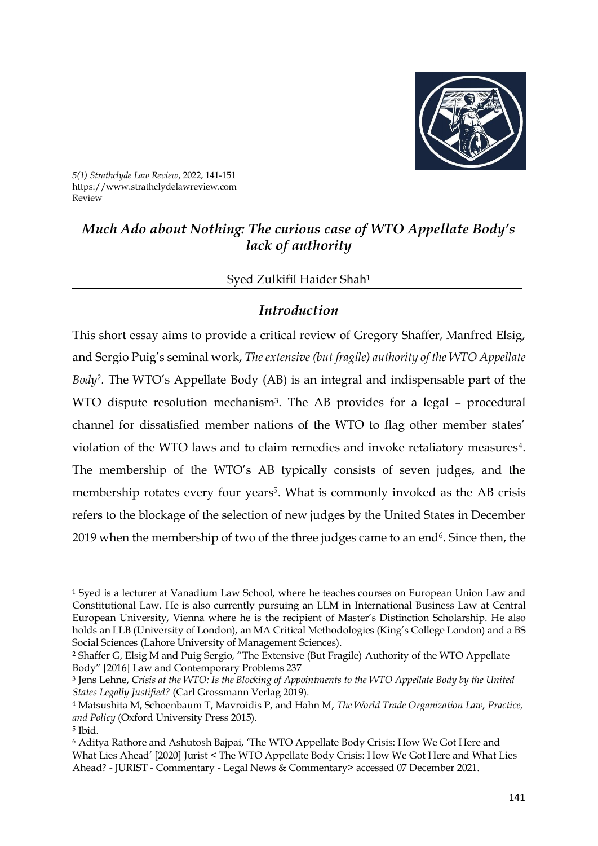

*5(1) Strathclyde Law Review*, 2022, 141-151 https://www.strathclydelawreview.com Review

### *Much Ado about Nothing: The curious case of WTO Appellate Body's lack of authority*

#### Syed Zulkifil Haider Shah<sup>1</sup>

#### *Introduction*

This short essay aims to provide a critical review of Gregory Shaffer, Manfred Elsig, and Sergio Puig's seminal work, *The extensive (but fragile) authority of the WTO Appellate Body<sup>2</sup> .* The WTO's Appellate Body (AB) is an integral and indispensable part of the WTO dispute resolution mechanism<sup>3</sup>. The AB provides for a legal - procedural channel for dissatisfied member nations of the WTO to flag other member states' violation of the WTO laws and to claim remedies and invoke retaliatory measures<sup>4</sup>. The membership of the WTO's AB typically consists of seven judges, and the membership rotates every four years<sup>5</sup>. What is commonly invoked as the AB crisis refers to the blockage of the selection of new judges by the United States in December 2019 when the membership of two of the three judges came to an end<sup>6</sup>. Since then, the

<sup>2</sup> Shaffer G, Elsig M and Puig Sergio, "The Extensive (But Fragile) Authority of the WTO Appellate Body" [2016] Law and Contemporary Problems 237

-

<sup>1</sup> Syed is a lecturer at Vanadium Law School, where he teaches courses on European Union Law and Constitutional Law. He is also currently pursuing an LLM in International Business Law at Central European University, Vienna where he is the recipient of Master's Distinction Scholarship. He also holds an LLB (University of London), an MA Critical Methodologies (King's College London) and a BS Social Sciences (Lahore University of Management Sciences).

<sup>3</sup> Jens Lehne, *Crisis at the WTO: Is the Blocking of Appointments to the WTO Appellate Body by the United States Legally Justified?* (Carl Grossmann Verlag 2019).

<sup>4</sup> Matsushita M, Schoenbaum T, Mavroidis P, and Hahn M, *The World Trade Organization Law, Practice, and Policy* (Oxford University Press 2015).

<sup>5</sup> Ibid.

<sup>6</sup> Aditya Rathore and Ashutosh Bajpai, 'The WTO Appellate Body Crisis: How We Got Here and What Lies Ahead' [2020] Jurist < [The WTO Appellate Body Crisis: How We Got Here and What Lies](https://www.jurist.org/commentary/2020/04/rathore-bajpai-wto-appellate-body-crisis/)  Ahead? - JURIST - Commentary - [Legal News & Commentary>](https://www.jurist.org/commentary/2020/04/rathore-bajpai-wto-appellate-body-crisis/) accessed 07 December 2021.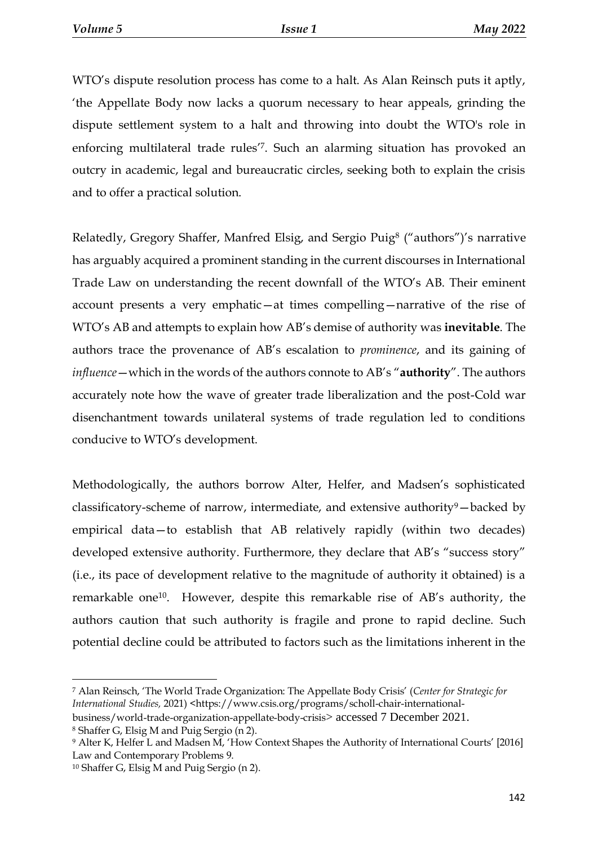WTO's dispute resolution process has come to a halt. As Alan Reinsch puts it aptly, 'the Appellate Body now lacks a quorum necessary to hear appeals, grinding the dispute settlement system to a halt and throwing into doubt the WTO's role in enforcing multilateral trade rules' 7 . Such an alarming situation has provoked an outcry in academic, legal and bureaucratic circles, seeking both to explain the crisis and to offer a practical solution.

Relatedly, Gregory Shaffer, Manfred Elsig, and Sergio Puig<sup>8</sup> ("authors")'s narrative has arguably acquired a prominent standing in the current discourses in International Trade Law on understanding the recent downfall of the WTO's AB. Their eminent account presents a very emphatic—at times compelling—narrative of the rise of WTO's AB and attempts to explain how AB's demise of authority was **inevitable**. The authors trace the provenance of AB's escalation to *prominence*, and its gaining of *influence*—which in the words of the authors connote to AB's "**authority**". The authors accurately note how the wave of greater trade liberalization and the post-Cold war disenchantment towards unilateral systems of trade regulation led to conditions conducive to WTO's development.

Methodologically, the authors borrow Alter, Helfer, and Madsen's sophisticated classificatory-scheme of narrow, intermediate, and extensive authority $9$  – backed by empirical data—to establish that AB relatively rapidly (within two decades) developed extensive authority. Furthermore, they declare that AB's "success story" (i.e., its pace of development relative to the magnitude of authority it obtained) is a remarkable one<sup>10</sup>. However, despite this remarkable rise of AB's authority, the authors caution that such authority is fragile and prone to rapid decline. Such potential decline could be attributed to factors such as the limitations inherent in the

<sup>7</sup> Alan Reinsch, 'The World Trade Organization: The Appellate Body Crisis' (*Center for Strategic for International Studies,* 2021) [<https://www.csis.org/programs/scholl-chair-international-](https://www.csis.org/programs/scholl-chair-international-business/world-trade-organization-appellate-body-crisis)

[business/world-trade-organization-appellate-body-crisis](https://www.csis.org/programs/scholl-chair-international-business/world-trade-organization-appellate-body-crisis)> accessed 7 December 2021. <sup>8</sup> Shaffer G, Elsig M and Puig Sergio (n 2).

<sup>&</sup>lt;sup>9</sup> Alter K, Helfer L and Madsen M, 'How Context Shapes the Authority of International Courts' [2016] Law and Contemporary Problems 9.

<sup>10</sup> Shaffer G, Elsig M and Puig Sergio (n 2).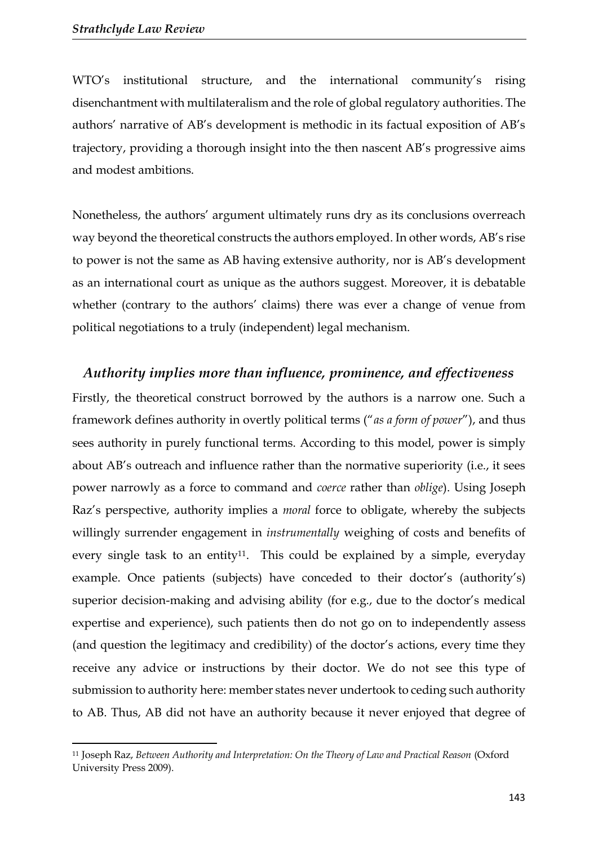**.** 

WTO's institutional structure, and the international community's rising disenchantment with multilateralism and the role of global regulatory authorities. The authors' narrative of AB's development is methodic in its factual exposition of AB's trajectory, providing a thorough insight into the then nascent AB's progressive aims and modest ambitions.

Nonetheless, the authors' argument ultimately runs dry as its conclusions overreach way beyond the theoretical constructs the authors employed. In other words, AB's rise to power is not the same as AB having extensive authority, nor is AB's development as an international court as unique as the authors suggest. Moreover, it is debatable whether (contrary to the authors' claims) there was ever a change of venue from political negotiations to a truly (independent) legal mechanism.

#### *Authority implies more than influence, prominence, and effectiveness*

Firstly, the theoretical construct borrowed by the authors is a narrow one. Such a framework defines authority in overtly political terms ("*as a form of power*"), and thus sees authority in purely functional terms. According to this model, power is simply about AB's outreach and influence rather than the normative superiority (i.e., it sees power narrowly as a force to command and *coerce* rather than *oblige*). Using Joseph Raz's perspective, authority implies a *moral* force to obligate, whereby the subjects willingly surrender engagement in *instrumentally* weighing of costs and benefits of every single task to an entity<sup>11</sup>. This could be explained by a simple, everyday example. Once patients (subjects) have conceded to their doctor's (authority's) superior decision-making and advising ability (for e.g., due to the doctor's medical expertise and experience), such patients then do not go on to independently assess (and question the legitimacy and credibility) of the doctor's actions, every time they receive any advice or instructions by their doctor. We do not see this type of submission to authority here: member states never undertook to ceding such authority to AB. Thus, AB did not have an authority because it never enjoyed that degree of

<sup>11</sup> Joseph Raz, *Between Authority and Interpretation: On the Theory of Law and Practical Reason* (Oxford University Press 2009).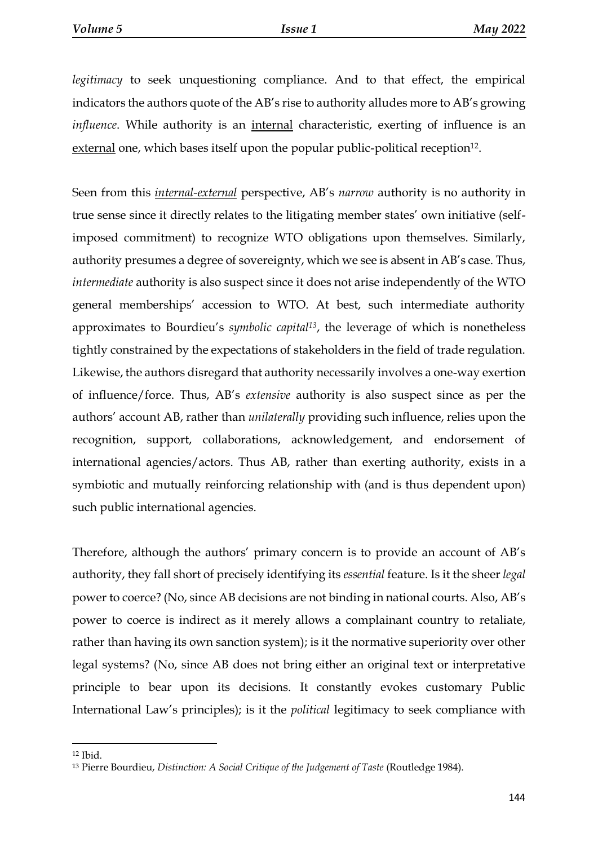*legitimacy* to seek unquestioning compliance. And to that effect, the empirical indicators the authors quote of the AB's rise to authority alludes more to AB's growing *influence*. While authority is an *internal* characteristic, exerting of influence is an external one, which bases itself upon the popular public-political reception<sup>12</sup>.

Seen from this *internal-external* perspective, AB's *narrow* authority is no authority in true sense since it directly relates to the litigating member states' own initiative (selfimposed commitment) to recognize WTO obligations upon themselves. Similarly, authority presumes a degree of sovereignty, which we see is absent in AB's case. Thus, *intermediate* authority is also suspect since it does not arise independently of the WTO general memberships' accession to WTO. At best, such intermediate authority approximates to Bourdieu's *symbolic capital<sup>13</sup>*, the leverage of which is nonetheless tightly constrained by the expectations of stakeholders in the field of trade regulation. Likewise, the authors disregard that authority necessarily involves a one-way exertion of influence/force. Thus, AB's *extensive* authority is also suspect since as per the authors' account AB, rather than *unilaterally* providing such influence, relies upon the recognition, support, collaborations, acknowledgement, and endorsement of international agencies/actors. Thus AB, rather than exerting authority, exists in a symbiotic and mutually reinforcing relationship with (and is thus dependent upon) such public international agencies.

Therefore, although the authors' primary concern is to provide an account of AB's authority, they fall short of precisely identifying its *essential* feature. Is it the sheer *legal*  power to coerce? (No, since AB decisions are not binding in national courts. Also, AB's power to coerce is indirect as it merely allows a complainant country to retaliate, rather than having its own sanction system); is it the normative superiority over other legal systems? (No, since AB does not bring either an original text or interpretative principle to bear upon its decisions. It constantly evokes customary Public International Law's principles); is it the *political* legitimacy to seek compliance with

 $12$  Ibid.

<sup>&</sup>lt;sup>13</sup> Pierre Bourdieu, *Distinction: A Social Critique of the Judgement of Taste (Routledge 1984).*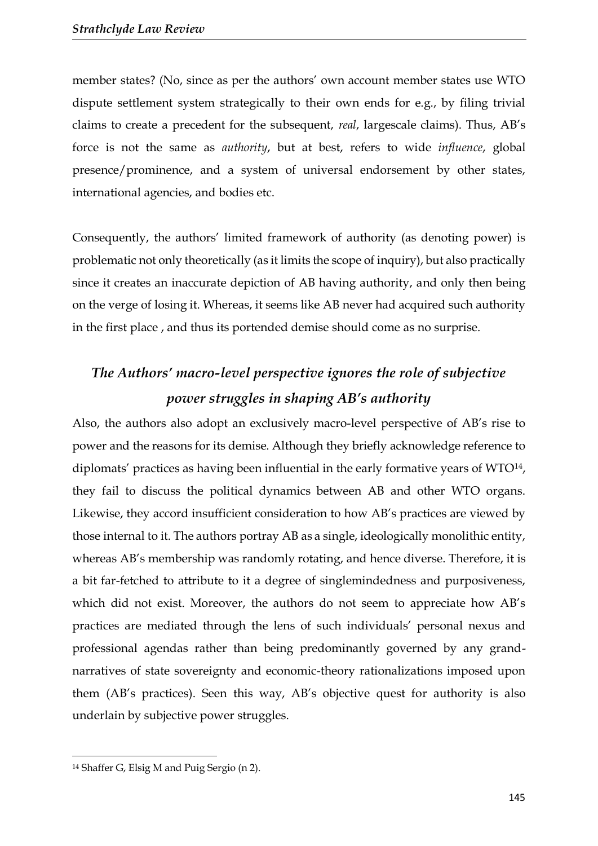member states? (No, since as per the authors' own account member states use WTO dispute settlement system strategically to their own ends for e.g., by filing trivial claims to create a precedent for the subsequent, *real*, largescale claims). Thus, AB's force is not the same as *authority*, but at best, refers to wide *influence*, global presence/prominence, and a system of universal endorsement by other states, international agencies, and bodies etc.

Consequently, the authors' limited framework of authority (as denoting power) is problematic not only theoretically (as it limits the scope of inquiry), but also practically since it creates an inaccurate depiction of AB having authority, and only then being on the verge of losing it. Whereas, it seems like AB never had acquired such authority in the first place , and thus its portended demise should come as no surprise.

# *The Authors' macro-level perspective ignores the role of subjective power struggles in shaping AB's authority*

Also, the authors also adopt an exclusively macro-level perspective of AB's rise to power and the reasons for its demise. Although they briefly acknowledge reference to diplomats' practices as having been influential in the early formative years of WTO<sup>14</sup>, they fail to discuss the political dynamics between AB and other WTO organs. Likewise, they accord insufficient consideration to how AB's practices are viewed by those internal to it. The authors portray AB as a single, ideologically monolithic entity, whereas AB's membership was randomly rotating, and hence diverse. Therefore, it is a bit far-fetched to attribute to it a degree of singlemindedness and purposiveness, which did not exist. Moreover, the authors do not seem to appreciate how AB's practices are mediated through the lens of such individuals' personal nexus and professional agendas rather than being predominantly governed by any grandnarratives of state sovereignty and economic-theory rationalizations imposed upon them (AB's practices). Seen this way, AB's objective quest for authority is also underlain by subjective power struggles.

<sup>14</sup> Shaffer G, Elsig M and Puig Sergio (n 2).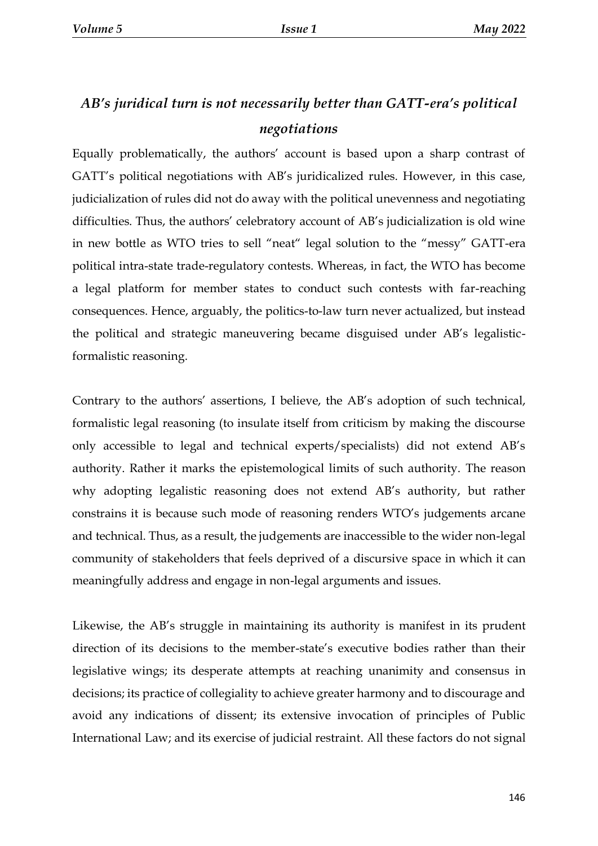### *AB's juridical turn is not necessarily better than GATT-era's political negotiations*

Equally problematically, the authors' account is based upon a sharp contrast of GATT's political negotiations with AB's juridicalized rules. However, in this case, judicialization of rules did not do away with the political unevenness and negotiating difficulties. Thus, the authors' celebratory account of AB's judicialization is old wine in new bottle as WTO tries to sell "neat" legal solution to the "messy" GATT-era political intra-state trade-regulatory contests. Whereas, in fact, the WTO has become a legal platform for member states to conduct such contests with far-reaching consequences. Hence, arguably, the politics-to-law turn never actualized, but instead the political and strategic maneuvering became disguised under AB's legalisticformalistic reasoning.

Contrary to the authors' assertions, I believe, the AB's adoption of such technical, formalistic legal reasoning (to insulate itself from criticism by making the discourse only accessible to legal and technical experts/specialists) did not extend AB's authority. Rather it marks the epistemological limits of such authority. The reason why adopting legalistic reasoning does not extend AB's authority, but rather constrains it is because such mode of reasoning renders WTO's judgements arcane and technical. Thus, as a result, the judgements are inaccessible to the wider non-legal community of stakeholders that feels deprived of a discursive space in which it can meaningfully address and engage in non-legal arguments and issues.

Likewise, the AB's struggle in maintaining its authority is manifest in its prudent direction of its decisions to the member-state's executive bodies rather than their legislative wings; its desperate attempts at reaching unanimity and consensus in decisions; its practice of collegiality to achieve greater harmony and to discourage and avoid any indications of dissent; its extensive invocation of principles of Public International Law; and its exercise of judicial restraint. All these factors do not signal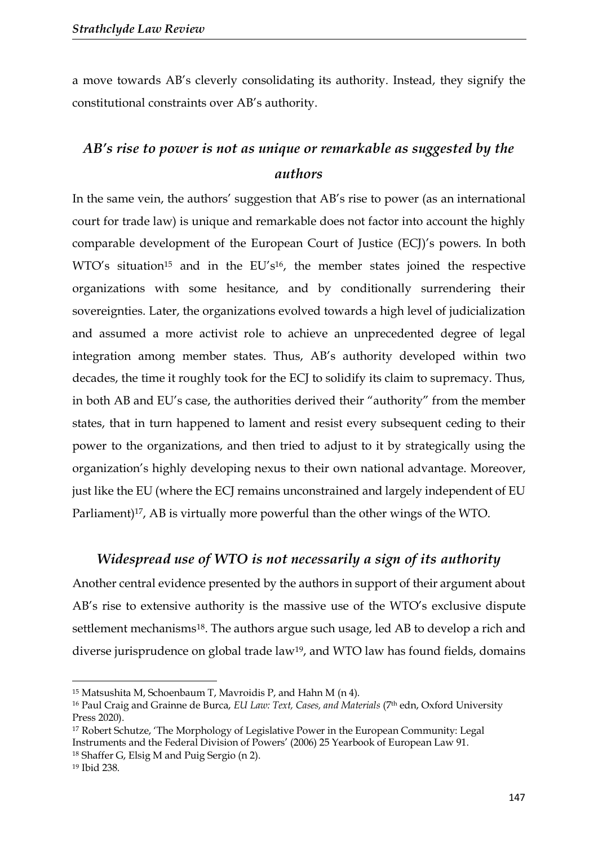a move towards AB's cleverly consolidating its authority. Instead, they signify the constitutional constraints over AB's authority.

### *AB's rise to power is not as unique or remarkable as suggested by the authors*

In the same vein, the authors' suggestion that AB's rise to power (as an international court for trade law) is unique and remarkable does not factor into account the highly comparable development of the European Court of Justice (ECJ)'s powers. In both  $WTO's$  situation<sup>15</sup> and in the  $EU's<sup>16</sup>$ , the member states joined the respective organizations with some hesitance, and by conditionally surrendering their sovereignties. Later, the organizations evolved towards a high level of judicialization and assumed a more activist role to achieve an unprecedented degree of legal integration among member states. Thus, AB's authority developed within two decades, the time it roughly took for the ECJ to solidify its claim to supremacy. Thus, in both AB and EU's case, the authorities derived their "authority" from the member states, that in turn happened to lament and resist every subsequent ceding to their power to the organizations, and then tried to adjust to it by strategically using the organization's highly developing nexus to their own national advantage. Moreover, just like the EU (where the ECJ remains unconstrained and largely independent of EU Parliament)<sup>17</sup>, AB is virtually more powerful than the other wings of the WTO.

#### *Widespread use of WTO is not necessarily a sign of its authority*

Another central evidence presented by the authors in support of their argument about AB's rise to extensive authority is the massive use of the WTO's exclusive dispute settlement mechanisms<sup>18</sup>. The authors argue such usage, led AB to develop a rich and diverse jurisprudence on global trade law<sup>19</sup>, and WTO law has found fields, domains

<sup>15</sup> Matsushita M, Schoenbaum T, Mavroidis P, and Hahn M (n 4).

<sup>16</sup> Paul Craig and Grainne de Burca, *EU Law: Text, Cases, and Materials* (7th edn, Oxford University Press 2020).

<sup>17</sup> Robert Schutze, 'The Morphology of Legislative Power in the European Community: Legal Instruments and the Federal Division of Powers' (2006) 25 Yearbook of European Law 91. <sup>18</sup> Shaffer G, Elsig M and Puig Sergio (n 2).

<sup>19</sup> Ibid 238.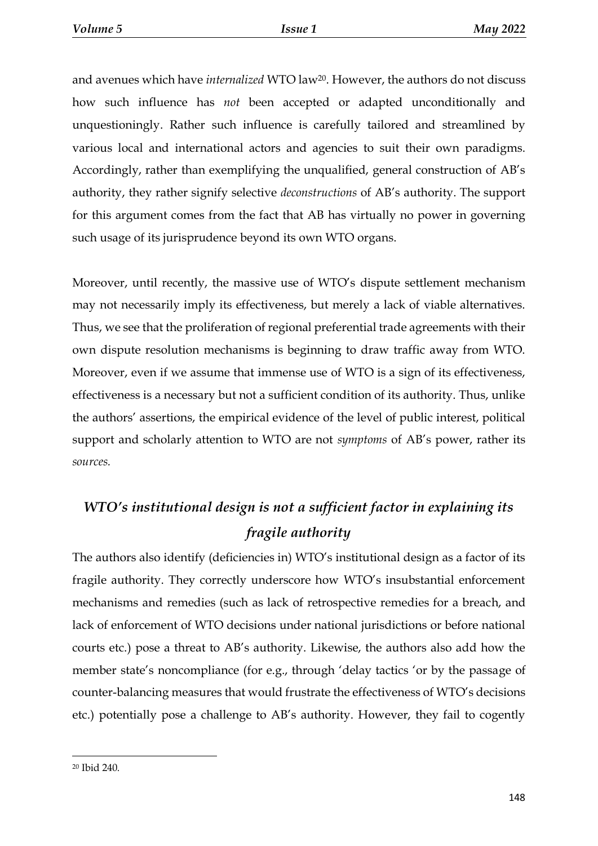and avenues which have *internalized* WTO law<sup>20</sup> . However, the authors do not discuss how such influence has *not* been accepted or adapted unconditionally and unquestioningly. Rather such influence is carefully tailored and streamlined by various local and international actors and agencies to suit their own paradigms. Accordingly, rather than exemplifying the unqualified, general construction of AB's authority, they rather signify selective *deconstructions* of AB's authority. The support for this argument comes from the fact that AB has virtually no power in governing such usage of its jurisprudence beyond its own WTO organs.

Moreover, until recently, the massive use of WTO's dispute settlement mechanism may not necessarily imply its effectiveness, but merely a lack of viable alternatives. Thus, we see that the proliferation of regional preferential trade agreements with their own dispute resolution mechanisms is beginning to draw traffic away from WTO. Moreover, even if we assume that immense use of WTO is a sign of its effectiveness, effectiveness is a necessary but not a sufficient condition of its authority. Thus, unlike the authors' assertions, the empirical evidence of the level of public interest, political support and scholarly attention to WTO are not *symptoms* of AB's power, rather its *sources.* 

# *WTO's institutional design is not a sufficient factor in explaining its fragile authority*

The authors also identify (deficiencies in) WTO's institutional design as a factor of its fragile authority. They correctly underscore how WTO's insubstantial enforcement mechanisms and remedies (such as lack of retrospective remedies for a breach, and lack of enforcement of WTO decisions under national jurisdictions or before national courts etc.) pose a threat to AB's authority. Likewise, the authors also add how the member state's noncompliance (for e.g., through 'delay tactics 'or by the passage of counter-balancing measures that would frustrate the effectiveness of WTO's decisions etc.) potentially pose a challenge to AB's authority. However, they fail to cogently

<sup>20</sup> Ibid 240.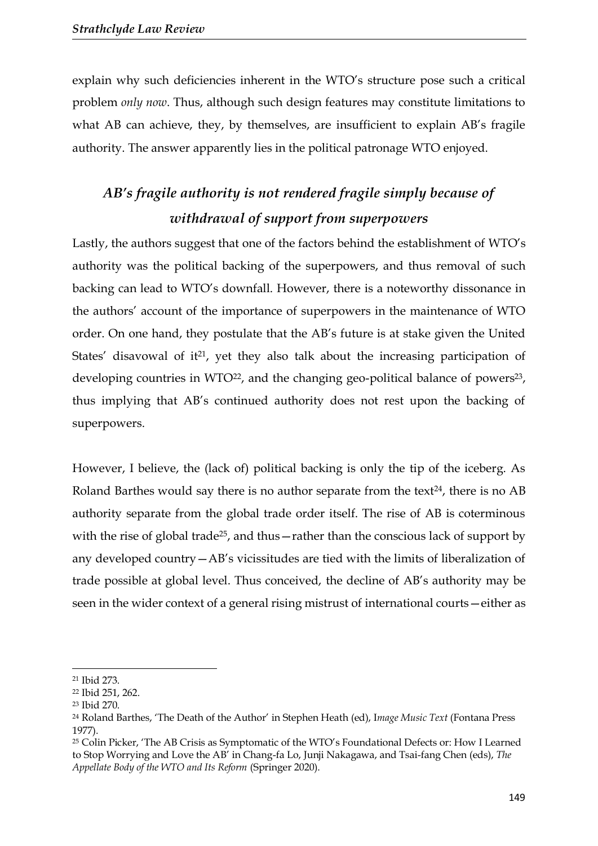explain why such deficiencies inherent in the WTO's structure pose such a critical problem *only now*. Thus, although such design features may constitute limitations to what AB can achieve, they, by themselves, are insufficient to explain AB's fragile authority. The answer apparently lies in the political patronage WTO enjoyed.

### *AB's fragile authority is not rendered fragile simply because of withdrawal of support from superpowers*

Lastly, the authors suggest that one of the factors behind the establishment of WTO's authority was the political backing of the superpowers, and thus removal of such backing can lead to WTO's downfall. However, there is a noteworthy dissonance in the authors' account of the importance of superpowers in the maintenance of WTO order. On one hand, they postulate that the AB's future is at stake given the United States' disavowal of it $21$ , yet they also talk about the increasing participation of developing countries in WTO<sup>22</sup>, and the changing geo-political balance of powers<sup>23</sup>, thus implying that AB's continued authority does not rest upon the backing of superpowers.

However, I believe, the (lack of) political backing is only the tip of the iceberg. As Roland Barthes would say there is no author separate from the text $24$ , there is no AB authority separate from the global trade order itself. The rise of AB is coterminous with the rise of global trade<sup>25</sup>, and thus—rather than the conscious lack of support by any developed country—AB's vicissitudes are tied with the limits of liberalization of trade possible at global level. Thus conceived, the decline of AB's authority may be seen in the wider context of a general rising mistrust of international courts—either as

1

<sup>21</sup> Ibid 273.

<sup>22</sup> Ibid 251, 262.

<sup>23</sup> Ibid 270.

<sup>24</sup> Roland Barthes, 'The Death of the Author' in Stephen Heath (ed), I*mage Music Text* (Fontana Press 1977).

<sup>&</sup>lt;sup>25</sup> Colin Picker, 'The AB Crisis as Symptomatic of the WTO's Foundational Defects or: How I Learned to Stop Worrying and Love the AB' in Chang-fa Lo, Junji Nakagawa, and Tsai-fang Chen (eds), *The Appellate Body of the WTO and Its Reform* (Springer 2020).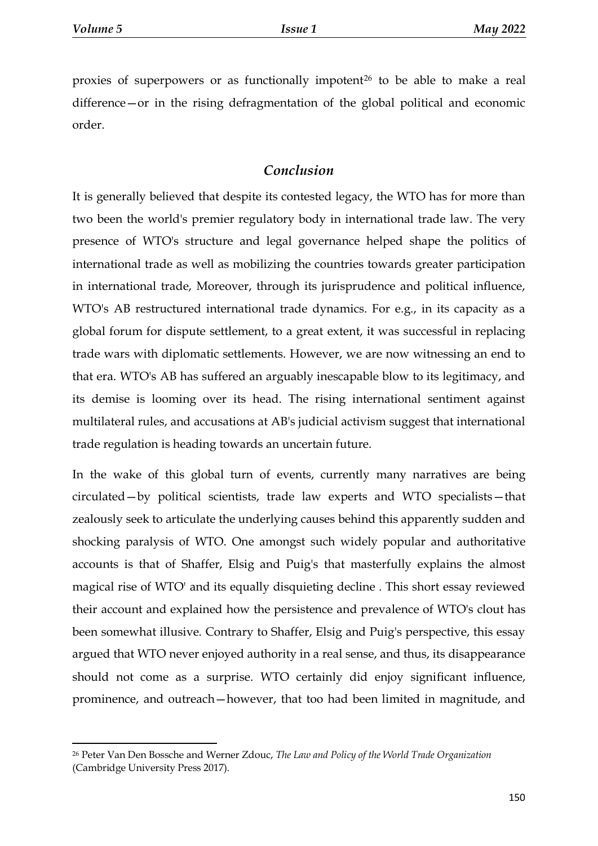**.** 

proxies of superpowers or as functionally impotent<sup>26</sup> to be able to make a real difference—or in the rising defragmentation of the global political and economic order.

#### *Conclusion*

It is generally believed that despite its contested legacy, the WTO has for more than two been the world's premier regulatory body in international trade law. The very presence of WTO's structure and legal governance helped shape the politics of international trade as well as mobilizing the countries towards greater participation in international trade, Moreover, through its jurisprudence and political influence, WTO's AB restructured international trade dynamics. For e.g., in its capacity as a global forum for dispute settlement, to a great extent, it was successful in replacing trade wars with diplomatic settlements. However, we are now witnessing an end to that era. WTO's AB has suffered an arguably inescapable blow to its legitimacy, and its demise is looming over its head. The rising international sentiment against multilateral rules, and accusations at AB's judicial activism suggest that international trade regulation is heading towards an uncertain future.

In the wake of this global turn of events, currently many narratives are being circulated—by political scientists, trade law experts and WTO specialists—that zealously seek to articulate the underlying causes behind this apparently sudden and shocking paralysis of WTO. One amongst such widely popular and authoritative accounts is that of Shaffer, Elsig and Puig's that masterfully explains the almost magical rise of WTO' and its equally disquieting decline . This short essay reviewed their account and explained how the persistence and prevalence of WTO's clout has been somewhat illusive. Contrary to Shaffer, Elsig and Puig's perspective, this essay argued that WTO never enjoyed authority in a real sense, and thus, its disappearance should not come as a surprise. WTO certainly did enjoy significant influence, prominence, and outreach—however, that too had been limited in magnitude, and

<sup>26</sup> Peter Van Den Bossche and Werner Zdouc, *The Law and Policy of the World Trade Organization* (Cambridge University Press 2017).